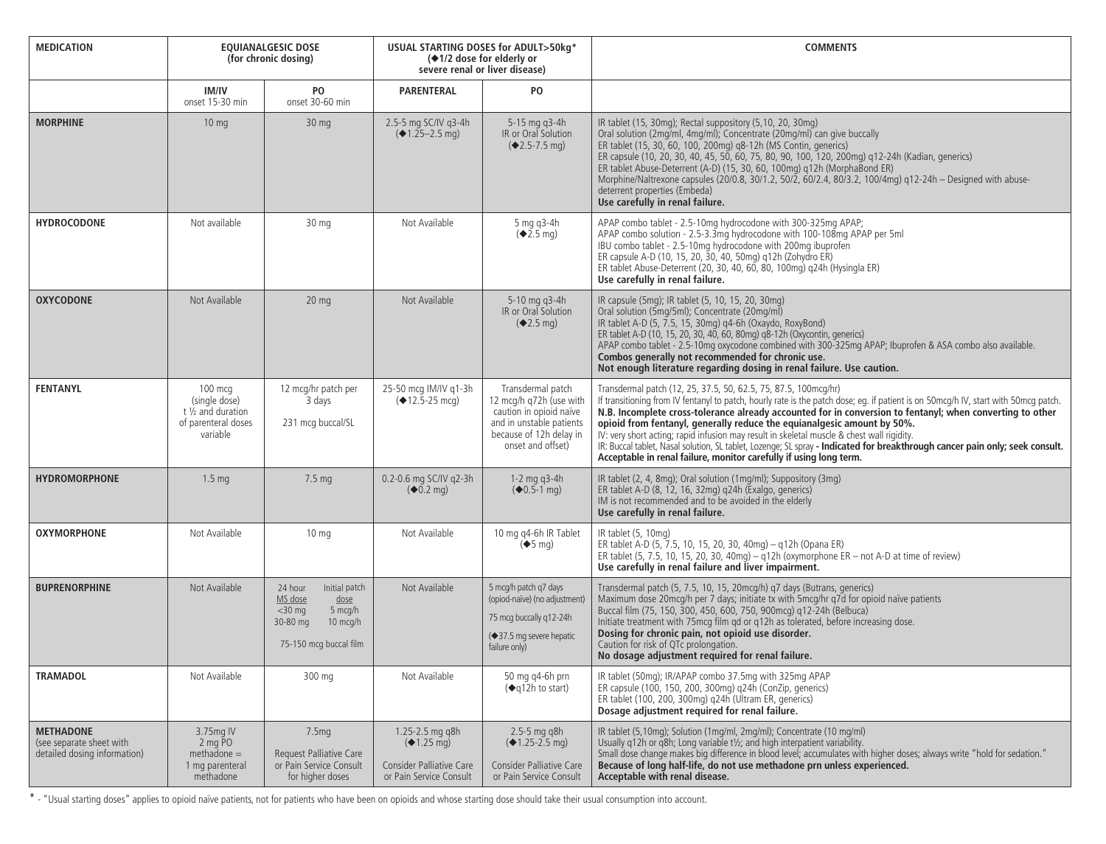| <b>MEDICATION</b>                                                            | <b>EQUIANALGESIC DOSE</b><br>(for chronic dosing)                                   |                                                                                                                       | USUAL STARTING DOSES for ADULT>50kg*<br>(◆1/2 dose for elderly or<br>severe renal or liver disease) |                                                                                                                                                     | <b>COMMENTS</b>                                                                                                                                                                                                                                                                                                                                                                                                                                                                                                                                                                                                                                                                                    |
|------------------------------------------------------------------------------|-------------------------------------------------------------------------------------|-----------------------------------------------------------------------------------------------------------------------|-----------------------------------------------------------------------------------------------------|-----------------------------------------------------------------------------------------------------------------------------------------------------|----------------------------------------------------------------------------------------------------------------------------------------------------------------------------------------------------------------------------------------------------------------------------------------------------------------------------------------------------------------------------------------------------------------------------------------------------------------------------------------------------------------------------------------------------------------------------------------------------------------------------------------------------------------------------------------------------|
|                                                                              | IM/IV<br>onset 15-30 min                                                            | PO<br>onset 30-60 min                                                                                                 | <b>PARENTERAL</b>                                                                                   | PO                                                                                                                                                  |                                                                                                                                                                                                                                                                                                                                                                                                                                                                                                                                                                                                                                                                                                    |
| <b>MORPHINE</b>                                                              | 10 <sub>mg</sub>                                                                    | 30 <sub>mg</sub>                                                                                                      | 2.5-5 mg SC/IV g3-4h<br>$(41.25 - 2.5)$ mg)                                                         | 5-15 ma a3-4h<br>IR or Oral Solution<br>$(2.5 - 7.5)$ ma                                                                                            | IR tablet (15, 30mg); Rectal suppository (5,10, 20, 30mg)<br>Oral solution (2mg/ml, 4mg/ml); Concentrate (20mg/ml) can give buccally<br>ER tablet (15, 30, 60, 100, 200mg) g8-12h (MS Contin, generics)<br>ER capsule (10, 20, 30, 40, 45, 50, 60, 75, 80, 90, 100, 120, 200mg) q12-24h (Kadian, generics)<br>ER tablet Abuse-Deterrent (A-D) (15, 30, 60, 100mg) q12h (MorphaBond ER)<br>Morphine/Naltrexone capsules (20/0.8, 30/1.2, 50/2, 60/2.4, 80/3.2, 100/4mg) g12-24h - Designed with abuse-<br>deterrent properties (Embeda)<br>Use carefully in renal failure.                                                                                                                          |
| <b>HYDROCODONE</b>                                                           | Not available                                                                       | 30 <sub>ma</sub>                                                                                                      | Not Available                                                                                       | 5 ma a3-4h<br>$(*2.5 \text{ mg})$                                                                                                                   | APAP combo tablet - 2.5-10mg hydrocodone with 300-325mg APAP;<br>APAP combo solution - 2.5-3.3mg hydrocodone with 100-108mg APAP per 5ml<br>IBU combo tablet - 2.5-10mg hydrocodone with 200mg ibuprofen<br>ER capsule A-D (10, 15, 20, 30, 40, 50mg) g12h (Zohydro ER)<br>ER tablet Abuse-Deterrent (20, 30, 40, 60, 80, 100mg) q24h (Hysingla ER)<br>Use carefully in renal failure.                                                                                                                                                                                                                                                                                                             |
| <b>OXYCODONE</b>                                                             | Not Available                                                                       | 20 <sub>mg</sub>                                                                                                      | Not Available                                                                                       | 5-10 mg g3-4h<br>IR or Oral Solution<br>$(*2.5 \text{ mg})$                                                                                         | IR capsule (5mg); IR tablet (5, 10, 15, 20, 30mg)<br>Oral solution (5mg/5ml); Concentrate (20mg/ml)<br>IR tablet A-D (5, 7.5, 15, 30mg) q4-6h (Oxaydo, RoxyBond)<br>ER tablet A-D (10, 15, 20, 30, 40, 60, 80mg) q8-12h (Oxycontin, generics)<br>APAP combo tablet - 2.5-10mg oxycodone combined with 300-325mg APAP; Ibuprofen & ASA combo also available.<br>Combos generally not recommended for chronic use.<br>Not enough literature regarding dosing in renal failure. Use caution.                                                                                                                                                                                                          |
| <b>FENTANYL</b>                                                              | $100$ mcg<br>(single dose)<br>t 1/2 and duration<br>of parenteral doses<br>variable | 12 mcg/hr patch per<br>3 days<br>231 mcg buccal/SL                                                                    | 25-50 mcg IM/IV g1-3h<br>$(412.5 - 25$ mcg)                                                         | Transdermal patch<br>12 mcg/h q72h (use with<br>caution in opioid naïve<br>and in unstable patients<br>because of 12h delay in<br>onset and offset) | Transdermal patch (12, 25, 37.5, 50, 62.5, 75, 87.5, 100mcg/hr)<br>If transitioning from IV fentanyl to patch, hourly rate is the patch dose; eq. if patient is on 50mcq/h IV, start with 50mcq patch.<br>N.B. Incomplete cross-tolerance already accounted for in conversion to fentanyl; when converting to other<br>opioid from fentanyl, generally reduce the equianalgesic amount by 50%.<br>IV: very short acting; rapid infusion may result in skeletal muscle & chest wall rigidity.<br>IR: Buccal tablet, Nasal solution, SL tablet, Lozenge; SL spray - Indicated for breakthrough cancer pain only; seek consult.<br>Acceptable in renal failure, monitor carefully if using long term. |
| <b>HYDROMORPHONE</b>                                                         | 1.5 <sub>mq</sub>                                                                   | 7.5 <sub>mg</sub>                                                                                                     | 0.2-0.6 mg SC/IV g2-3h<br>$(40.2 \text{ mg})$                                                       | 1-2 mg $q3-4h$<br>$(40.5-1)$ mg)                                                                                                                    | IR tablet (2, 4, 8mg); Oral solution (1mg/ml); Suppository (3mg)<br>ER tablet A-D (8, 12, 16, 32mg) g24h (Exalgo, generics)<br>IM is not recommended and to be avoided in the elderly<br>Use carefully in renal failure.                                                                                                                                                                                                                                                                                                                                                                                                                                                                           |
| <b>OXYMORPHONE</b>                                                           | Not Available                                                                       | 10 <sub>mg</sub>                                                                                                      | Not Available                                                                                       | 10 mg q4-6h IR Tablet<br>$\left( \blacklozenge 5 \text{ mg} \right)$                                                                                | IR tablet (5, 10mg)<br>ER tablet A-D (5, 7.5, 10, 15, 20, 30, 40mg) - q12h (Opana ER)<br>ER tablet (5, 7.5, 10, 15, 20, 30, 40mg) $-$ g12h (oxymorphone ER - not A-D at time of review)<br>Use carefully in renal failure and liver impairment.                                                                                                                                                                                                                                                                                                                                                                                                                                                    |
| <b>BUPRENORPHINE</b>                                                         | Not Available                                                                       | 24 hour<br>Initial patch<br>MS dose<br>dose<br>$<$ 30 mg<br>5 mcg/h<br>10 mcg/h<br>30-80 mg<br>75-150 mcg buccal film | Not Available                                                                                       | 5 mcg/h patch g7 days<br>(opiod-naïve) (no adjustment)<br>75 mcg buccally q12-24h<br>(◆37.5 mg severe hepatic<br>failure only)                      | Transdermal patch (5, 7.5, 10, 15, 20mcq/h) q7 days (Butrans, generics)<br>Maximum dose 20mcg/h per 7 days; initiate tx with 5mcg/hr q7d for opioid naïve patients<br>Buccal film (75, 150, 300, 450, 600, 750, 900mcg) q12-24h (Belbuca)<br>Initiate treatment with 75mcg film gd or g12h as tolerated, before increasing dose.<br>Dosing for chronic pain, not opioid use disorder.<br>Caution for risk of QTc prolongation.<br>No dosage adjustment required for renal failure.                                                                                                                                                                                                                 |
| <b>TRAMADOL</b>                                                              | Not Available                                                                       | 300 mg                                                                                                                | Not Available                                                                                       | 50 mg g4-6h prn<br>(◆q12h to start)                                                                                                                 | IR tablet (50mg); IR/APAP combo 37.5mg with 325mg APAP<br>ER capsule (100, 150, 200, 300mg) q24h (ConZip, generics)<br>ER tablet (100, 200, 300mg) g24h (Ultram ER, generics)<br>Dosage adjustment required for renal failure.                                                                                                                                                                                                                                                                                                                                                                                                                                                                     |
| <b>METHADONE</b><br>(see separate sheet with<br>detailed dosing information) | 3.75mg IV<br>2 mg PO<br>$methodone =$<br>1 mg parenteral<br>methadone               | 7.5 <sub>mg</sub><br>Request Palliative Care<br>or Pain Service Consult<br>for higher doses                           | 1.25-2.5 mg g8h<br>$(*1.25 \text{ ma})$<br>Consider Palliative Care<br>or Pain Service Consult      | $2.5 - 5$ mg q8h<br>$(41.25 - 2.5)$ mg)<br>Consider Palliative Care<br>or Pain Service Consult                                                      | IR tablet (5,10mq); Solution (1mq/ml, 2mq/ml); Concentrate (10 mq/ml)<br>Usually q12h or q8h; Long variable t1/2; and high interpatient variability.<br>Small dose change makes big difference in blood level; accumulates with higher doses; always write "hold for sedation."<br>Because of long half-life, do not use methadone prn unless experienced.<br>Acceptable with renal disease.                                                                                                                                                                                                                                                                                                       |

\* - "Usual starting doses" applies to opioid naïve patients, not for patients who have been on opioids and whose starting dose should take their usual consumption into account.